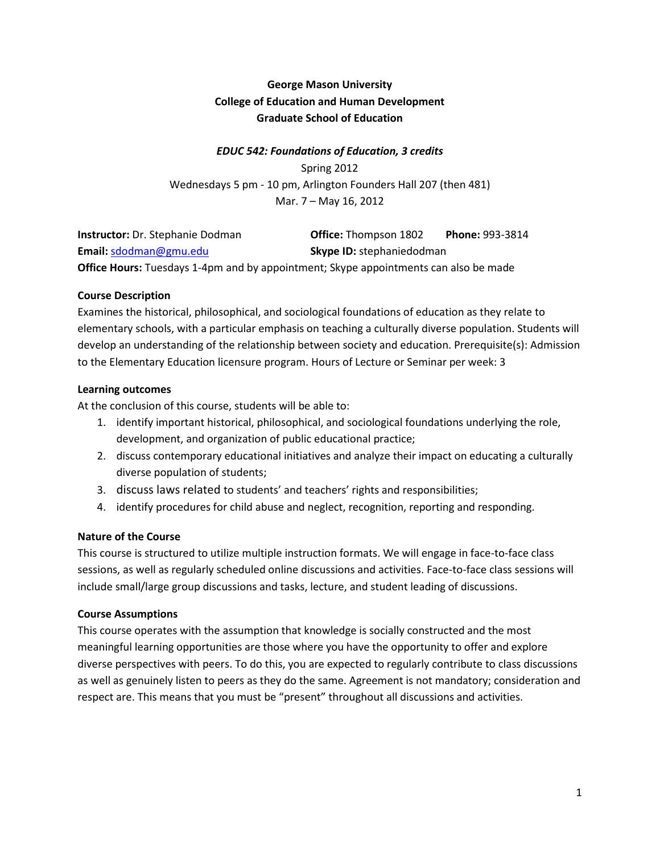# **George Mason University College of Education and Human Development Graduate School of Education**

## *EDUC 542: Foundations of Education, 3 credits*

Spring 2012 Wednesdays 5 pm - 10 pm, Arlington Founders Hall 207 (then 481) Mar. 7 – May 16, 2012

| <b>Instructor:</b> Dr. Stephanie Dodman                                                     | <b>Office:</b> Thompson 1802     | <b>Phone: 993-3814</b> |
|---------------------------------------------------------------------------------------------|----------------------------------|------------------------|
| <b>Email:</b> sdodman@gmu.edu                                                               | <b>Skype ID:</b> stephaniedodman |                        |
| <b>Office Hours:</b> Tuesdays 1-4pm and by appointment; Skype appointments can also be made |                                  |                        |

### **Course Description**

Examines the historical, philosophical, and sociological foundations of education as they relate to elementary schools, with a particular emphasis on teaching a culturally diverse population. Students will develop an understanding of the relationship between society and education. Prerequisite(s): Admission to the Elementary Education licensure program. Hours of Lecture or Seminar per week: 3

### **Learning outcomes**

At the conclusion of this course, students will be able to:

- 1. identify important historical, philosophical, and sociological foundations underlying the role, development, and organization of public educational practice;
- 2. discuss contemporary educational initiatives and analyze their impact on educating a culturally diverse population of students;
- 3. discuss laws related to students' and teachers' rights and responsibilities;
- 4. identify procedures for child abuse and neglect, recognition, reporting and responding.

## **Nature of the Course**

This course is structured to utilize multiple instruction formats. We will engage in face-to-face class sessions, as well as regularly scheduled online discussions and activities. Face-to-face class sessions will include small/large group discussions and tasks, lecture, and student leading of discussions.

#### **Course Assumptions**

This course operates with the assumption that knowledge is socially constructed and the most meaningful learning opportunities are those where you have the opportunity to offer and explore diverse perspectives with peers. To do this, you are expected to regularly contribute to class discussions as well as genuinely listen to peers as they do the same. Agreement is not mandatory; consideration and respect are. This means that you must be "present" throughout all discussions and activities.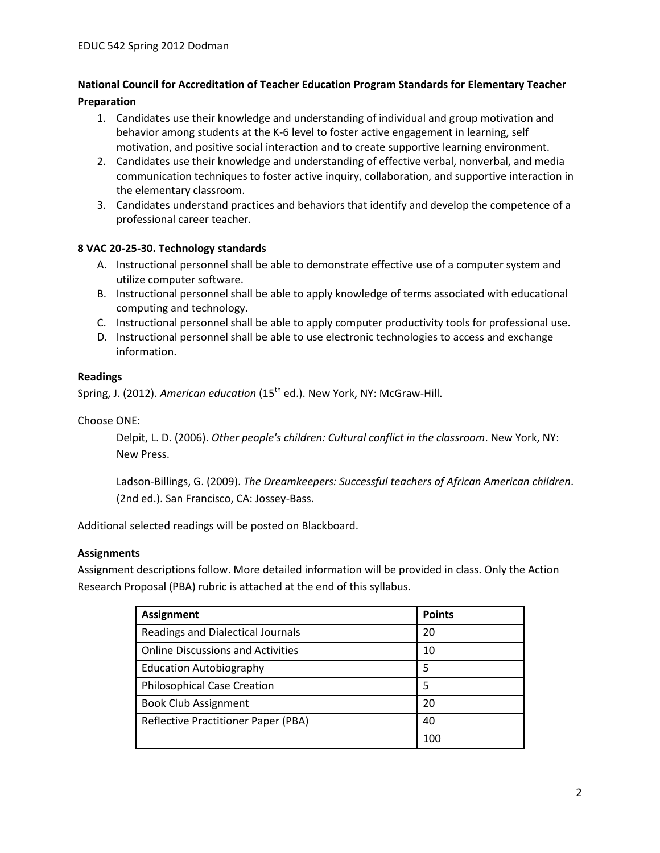## **National Council for Accreditation of Teacher Education Program Standards for Elementary Teacher Preparation**

- 1. Candidates use their knowledge and understanding of individual and group motivation and behavior among students at the K-6 level to foster active engagement in learning, self motivation, and positive social interaction and to create supportive learning environment.
- 2. Candidates use their knowledge and understanding of effective verbal, nonverbal, and media communication techniques to foster active inquiry, collaboration, and supportive interaction in the elementary classroom.
- 3. Candidates understand practices and behaviors that identify and develop the competence of a professional career teacher.

### **8 VAC 20-25-30. Technology standards**

- A. Instructional personnel shall be able to demonstrate effective use of a computer system and utilize computer software.
- B. Instructional personnel shall be able to apply knowledge of terms associated with educational computing and technology.
- C. Instructional personnel shall be able to apply computer productivity tools for professional use.
- D. Instructional personnel shall be able to use electronic technologies to access and exchange information.

#### **Readings**

Spring, J. (2012). *American education* (15<sup>th</sup> ed.). New York, NY: McGraw-Hill.

Choose ONE:

Delpit, L. D. (2006). *Other people's children: Cultural conflict in the classroom*. New York, NY: New Press.

Ladson-Billings, G. (2009). *The Dreamkeepers: Successful teachers of African American children*. (2nd ed.). San Francisco, CA: Jossey-Bass.

Additional selected readings will be posted on Blackboard.

#### **Assignments**

Assignment descriptions follow. More detailed information will be provided in class. Only the Action Research Proposal (PBA) rubric is attached at the end of this syllabus.

| <b>Assignment</b>                        | <b>Points</b> |
|------------------------------------------|---------------|
| Readings and Dialectical Journals        | 20            |
| <b>Online Discussions and Activities</b> | 10            |
| <b>Education Autobiography</b>           | 5             |
| <b>Philosophical Case Creation</b>       | 5             |
| <b>Book Club Assignment</b>              | 20            |
| Reflective Practitioner Paper (PBA)      | 40            |
|                                          | 100           |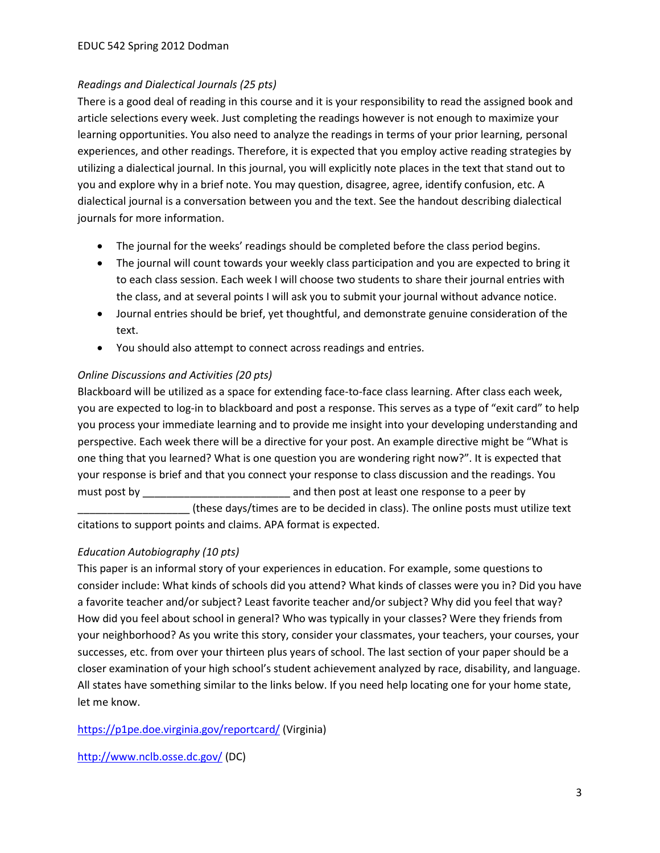### *Readings and Dialectical Journals (25 pts)*

There is a good deal of reading in this course and it is your responsibility to read the assigned book and article selections every week. Just completing the readings however is not enough to maximize your learning opportunities. You also need to analyze the readings in terms of your prior learning, personal experiences, and other readings. Therefore, it is expected that you employ active reading strategies by utilizing a dialectical journal. In this journal, you will explicitly note places in the text that stand out to you and explore why in a brief note. You may question, disagree, agree, identify confusion, etc. A dialectical journal is a conversation between you and the text. See the handout describing dialectical journals for more information.

- The journal for the weeks' readings should be completed before the class period begins.
- The journal will count towards your weekly class participation and you are expected to bring it to each class session. Each week I will choose two students to share their journal entries with the class, and at several points I will ask you to submit your journal without advance notice.
- Journal entries should be brief, yet thoughtful, and demonstrate genuine consideration of the text.
- You should also attempt to connect across readings and entries.

## *Online Discussions and Activities (20 pts)*

Blackboard will be utilized as a space for extending face-to-face class learning. After class each week, you are expected to log-in to blackboard and post a response. This serves as a type of "exit card" to help you process your immediate learning and to provide me insight into your developing understanding and perspective. Each week there will be a directive for your post. An example directive might be "What is one thing that you learned? What is one question you are wondering right now?". It is expected that your response is brief and that you connect your response to class discussion and the readings. You must post by \_\_\_\_\_\_\_\_\_\_\_\_\_\_\_\_\_\_\_\_\_\_\_\_\_ and then post at least one response to a peer by

\_\_\_\_\_\_\_\_\_\_\_\_\_\_\_\_\_\_\_ (these days/times are to be decided in class). The online posts must utilize text citations to support points and claims. APA format is expected.

## *Education Autobiography (10 pts)*

This paper is an informal story of your experiences in education. For example, some questions to consider include: What kinds of schools did you attend? What kinds of classes were you in? Did you have a favorite teacher and/or subject? Least favorite teacher and/or subject? Why did you feel that way? How did you feel about school in general? Who was typically in your classes? Were they friends from your neighborhood? As you write this story, consider your classmates, your teachers, your courses, your successes, etc. from over your thirteen plus years of school. The last section of your paper should be a closer examination of your high school's student achievement analyzed by race, disability, and language. All states have something similar to the links below. If you need help locating one for your home state, let me know.

<https://p1pe.doe.virginia.gov/reportcard/> (Virginia)

<http://www.nclb.osse.dc.gov/> (DC)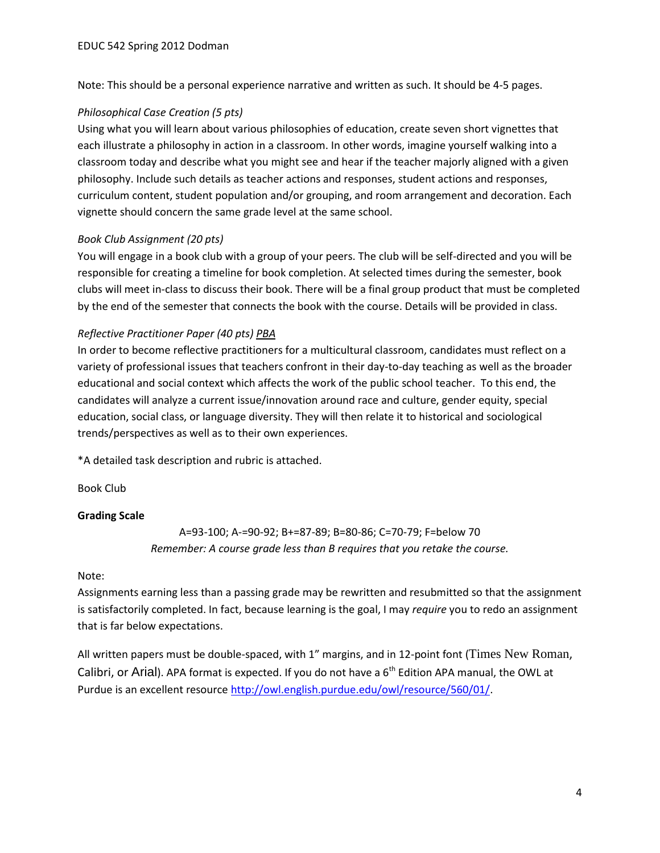Note: This should be a personal experience narrative and written as such. It should be 4-5 pages.

### *Philosophical Case Creation (5 pts)*

Using what you will learn about various philosophies of education, create seven short vignettes that each illustrate a philosophy in action in a classroom. In other words, imagine yourself walking into a classroom today and describe what you might see and hear if the teacher majorly aligned with a given philosophy. Include such details as teacher actions and responses, student actions and responses, curriculum content, student population and/or grouping, and room arrangement and decoration. Each vignette should concern the same grade level at the same school.

### *Book Club Assignment (20 pts)*

You will engage in a book club with a group of your peers. The club will be self-directed and you will be responsible for creating a timeline for book completion. At selected times during the semester, book clubs will meet in-class to discuss their book. There will be a final group product that must be completed by the end of the semester that connects the book with the course. Details will be provided in class.

### *Reflective Practitioner Paper (40 pts) PBA*

In order to become reflective practitioners for a multicultural classroom, candidates must reflect on a variety of professional issues that teachers confront in their day-to-day teaching as well as the broader educational and social context which affects the work of the public school teacher. To this end, the candidates will analyze a current issue/innovation around race and culture, gender equity, special education, social class, or language diversity. They will then relate it to historical and sociological trends/perspectives as well as to their own experiences.

\*A detailed task description and rubric is attached.

Book Club

## **Grading Scale**

A=93-100; A-=90-92; B+=87-89; B=80-86; C=70-79; F=below 70 *Remember: A course grade less than B requires that you retake the course.*

#### Note:

Assignments earning less than a passing grade may be rewritten and resubmitted so that the assignment is satisfactorily completed. In fact, because learning is the goal, I may *require* you to redo an assignment that is far below expectations.

All written papers must be double-spaced, with 1" margins, and in 12-point font (Times New Roman, Calibri, or Arial). APA format is expected. If you do not have a  $6<sup>th</sup>$  Edition APA manual, the OWL at Purdue is an excellent resource [http://owl.english.purdue.edu/owl/resource/560/01/.](http://owl.english.purdue.edu/owl/resource/560/01/)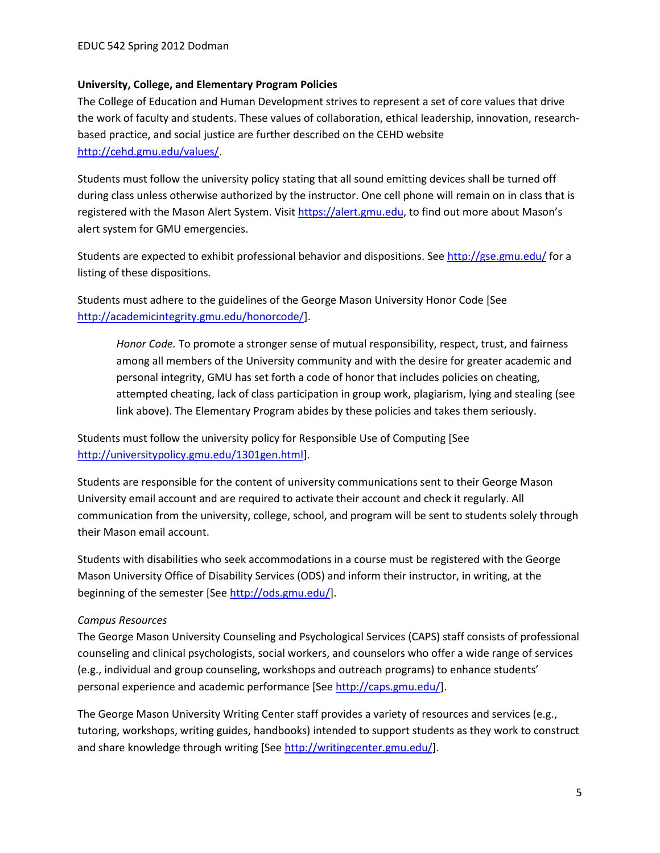### **University, College, and Elementary Program Policies**

The College of Education and Human Development strives to represent a set of core values that drive the work of faculty and students. These values of collaboration, ethical leadership, innovation, researchbased practice, and social justice are further described on the CEHD website [http://cehd.gmu.edu/values/.](http://cehd.gmu.edu/values/)

Students must follow the university policy stating that all sound emitting devices shall be turned off during class unless otherwise authorized by the instructor. One cell phone will remain on in class that is registered with the Mason Alert System. Visi[t https://alert.gmu.edu](https://alert.gmu.edu/), to find out more about Mason's alert system for GMU emergencies.

Students are expected to exhibit professional behavior and dispositions. See<http://gse.gmu.edu/> for a listing of these dispositions.

Students must adhere to the guidelines of the George Mason University Honor Code [See [http://academicintegrity.gmu.edu/honorcode/\]](http://academicintegrity.gmu.edu/honorcode/).

*Honor Code.* To promote a stronger sense of mutual responsibility, respect, trust, and fairness among all members of the University community and with the desire for greater academic and personal integrity, GMU has set forth a code of honor that includes policies on cheating, attempted cheating, lack of class participation in group work, plagiarism, lying and stealing (see link above). The Elementary Program abides by these policies and takes them seriously.

Students must follow the university policy for Responsible Use of Computing [See [http://universitypolicy.gmu.edu/1301gen.html\]](http://universitypolicy.gmu.edu/1301gen.html).

Students are responsible for the content of university communications sent to their George Mason University email account and are required to activate their account and check it regularly. All communication from the university, college, school, and program will be sent to students solely through their Mason email account.

Students with disabilities who seek accommodations in a course must be registered with the George Mason University Office of Disability Services (ODS) and inform their instructor, in writing, at the beginning of the semester [See [http://ods.gmu.edu/\]](http://ods.gmu.edu/).

## *Campus Resources*

The George Mason University Counseling and Psychological Services (CAPS) staff consists of professional counseling and clinical psychologists, social workers, and counselors who offer a wide range of services (e.g., individual and group counseling, workshops and outreach programs) to enhance students' personal experience and academic performance [Se[e http://caps.gmu.edu/\]](http://caps.gmu.edu/).

The George Mason University Writing Center staff provides a variety of resources and services (e.g., tutoring, workshops, writing guides, handbooks) intended to support students as they work to construct and share knowledge through writing [See [http://writingcenter.gmu.edu/\]](http://writingcenter.gmu.edu/).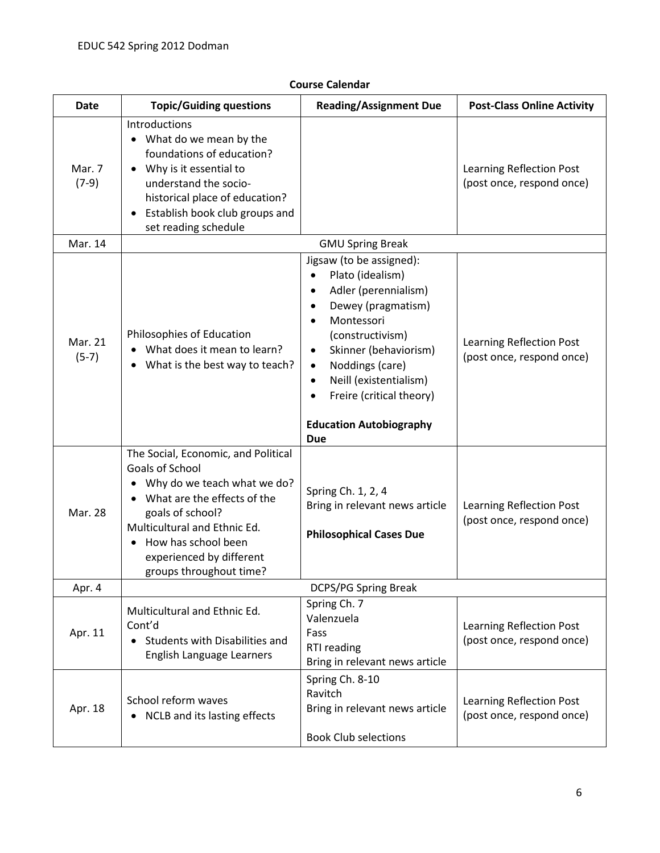| <b>Date</b>        | <b>Topic/Guiding questions</b>                                                                                                                                                                                                                         | <b>Reading/Assignment Due</b>                                                                                                                                                                                                                                                                                                      | <b>Post-Class Online Activity</b>                            |
|--------------------|--------------------------------------------------------------------------------------------------------------------------------------------------------------------------------------------------------------------------------------------------------|------------------------------------------------------------------------------------------------------------------------------------------------------------------------------------------------------------------------------------------------------------------------------------------------------------------------------------|--------------------------------------------------------------|
| Mar. 7<br>$(7-9)$  | Introductions<br>• What do we mean by the<br>foundations of education?<br>Why is it essential to<br>understand the socio-<br>historical place of education?<br>Establish book club groups and<br>set reading schedule                                  |                                                                                                                                                                                                                                                                                                                                    | Learning Reflection Post<br>(post once, respond once)        |
| Mar. 14            |                                                                                                                                                                                                                                                        | <b>GMU Spring Break</b>                                                                                                                                                                                                                                                                                                            |                                                              |
| Mar. 21<br>$(5-7)$ | Philosophies of Education<br>What does it mean to learn?<br>What is the best way to teach?                                                                                                                                                             | Jigsaw (to be assigned):<br>Plato (idealism)<br>$\bullet$<br>Adler (perennialism)<br>Dewey (pragmatism)<br>Montessori<br>$\bullet$<br>(constructivism)<br>Skinner (behaviorism)<br>Noddings (care)<br>$\bullet$<br>Neill (existentialism)<br>$\bullet$<br>Freire (critical theory)<br><b>Education Autobiography</b><br><b>Due</b> | Learning Reflection Post<br>(post once, respond once)        |
| Mar. 28            | The Social, Economic, and Political<br>Goals of School<br>Why do we teach what we do?<br>What are the effects of the<br>goals of school?<br>Multicultural and Ethnic Ed.<br>How has school been<br>experienced by different<br>groups throughout time? | Spring Ch. 1, 2, 4<br>Bring in relevant news article<br><b>Philosophical Cases Due</b>                                                                                                                                                                                                                                             | Learning Reflection Post<br>(post once, respond once)        |
| Apr. 4             |                                                                                                                                                                                                                                                        | DCPS/PG Spring Break                                                                                                                                                                                                                                                                                                               |                                                              |
| Apr. 11            | Multicultural and Ethnic Ed.<br>Cont'd<br>• Students with Disabilities and<br>English Language Learners                                                                                                                                                | Spring Ch. 7<br>Valenzuela<br>Fass<br>RTI reading<br>Bring in relevant news article                                                                                                                                                                                                                                                | <b>Learning Reflection Post</b><br>(post once, respond once) |
| Apr. 18            | School reform waves<br>NCLB and its lasting effects<br>$\bullet$                                                                                                                                                                                       | Spring Ch. 8-10<br>Ravitch<br>Bring in relevant news article<br><b>Book Club selections</b>                                                                                                                                                                                                                                        | Learning Reflection Post<br>(post once, respond once)        |

## **Course Calendar**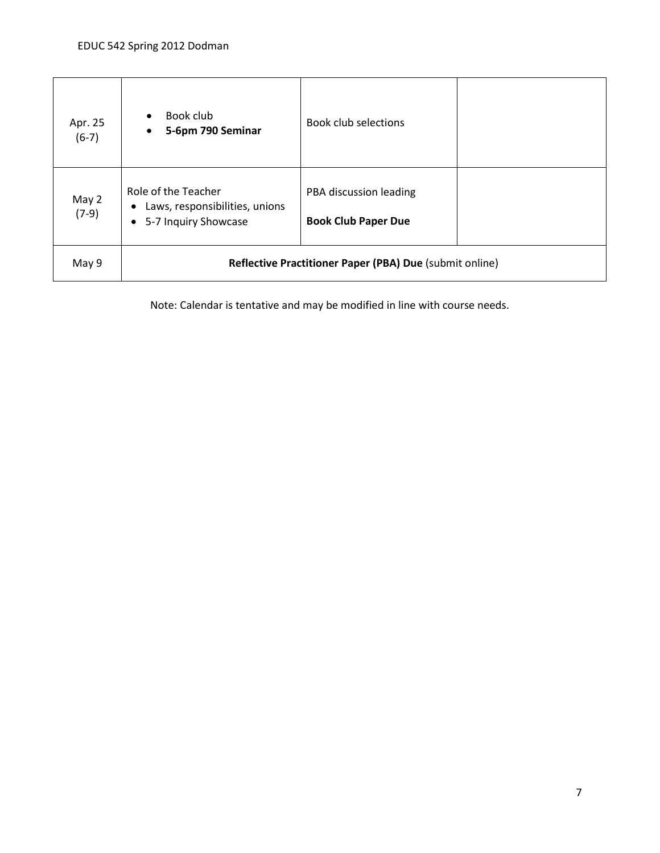| Apr. 25<br>$(6-7)$ | Book club<br>5-6pm 790 Seminar<br>$\bullet$                                                | <b>Book club selections</b>                          |  |
|--------------------|--------------------------------------------------------------------------------------------|------------------------------------------------------|--|
| May 2<br>$(7-9)$   | Role of the Teacher<br>Laws, responsibilities, unions<br>5-7 Inquiry Showcase<br>$\bullet$ | PBA discussion leading<br><b>Book Club Paper Due</b> |  |
| May 9              | Reflective Practitioner Paper (PBA) Due (submit online)                                    |                                                      |  |

Note: Calendar is tentative and may be modified in line with course needs.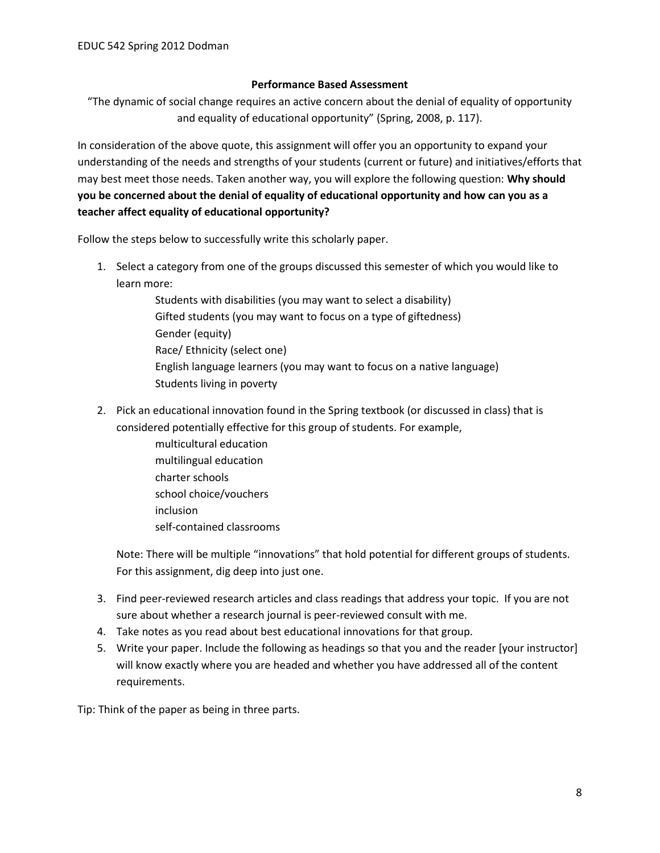#### **Performance Based Assessment**

"The dynamic of social change requires an active concern about the denial of equality of opportunity and equality of educational opportunity" (Spring, 2008, p. 117).

In consideration of the above quote, this assignment will offer you an opportunity to expand your understanding of the needs and strengths of your students (current or future) and initiatives/efforts that may best meet those needs. Taken another way, you will explore the following question: **Why should you be concerned about the denial of equality of educational opportunity and how can you as a teacher affect equality of educational opportunity?**

Follow the steps below to successfully write this scholarly paper.

- 1. Select a category from one of the groups discussed this semester of which you would like to learn more:
	- Students with disabilities (you may want to select a disability) Gifted students (you may want to focus on a type of giftedness) Gender (equity) Race/ Ethnicity (select one) English language learners (you may want to focus on a native language) Students living in poverty
- 2. Pick an educational innovation found in the Spring textbook (or discussed in class) that is considered potentially effective for this group of students. For example,
	- multicultural education multilingual education charter schools school choice/vouchers inclusion self-contained classrooms

Note: There will be multiple "innovations" that hold potential for different groups of students. For this assignment, dig deep into just one.

- 3. Find peer-reviewed research articles and class readings that address your topic. If you are not sure about whether a research journal is peer-reviewed consult with me.
- 4. Take notes as you read about best educational innovations for that group.
- 5. Write your paper. Include the following as headings so that you and the reader [your instructor] will know exactly where you are headed and whether you have addressed all of the content requirements.

Tip: Think of the paper as being in three parts.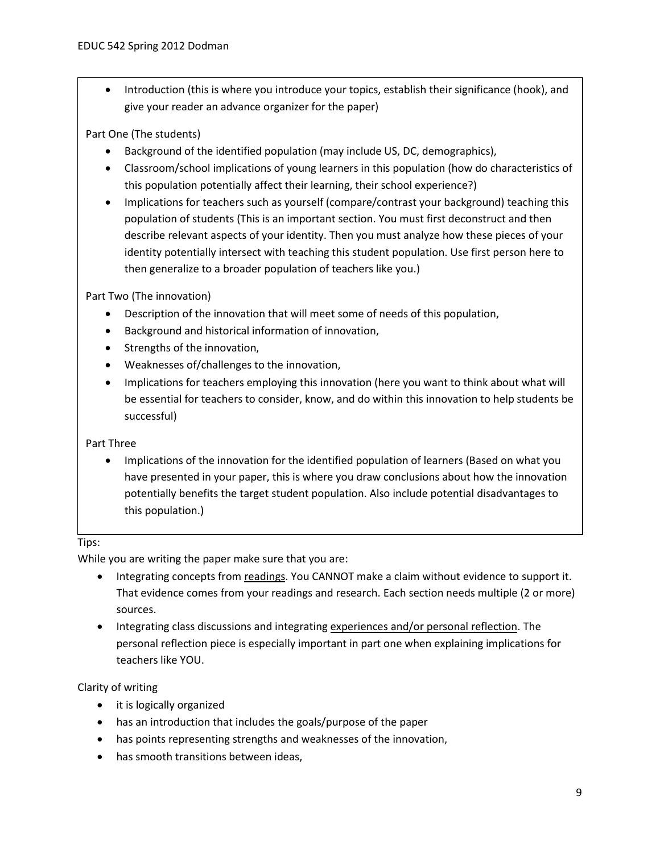Introduction (this is where you introduce your topics, establish their significance (hook), and give your reader an advance organizer for the paper)

## Part One (The students)

- Background of the identified population (may include US, DC, demographics),
- Classroom/school implications of young learners in this population (how do characteristics of this population potentially affect their learning, their school experience?)
- Implications for teachers such as yourself (compare/contrast your background) teaching this population of students (This is an important section. You must first deconstruct and then describe relevant aspects of your identity. Then you must analyze how these pieces of your identity potentially intersect with teaching this student population. Use first person here to then generalize to a broader population of teachers like you.)

Part Two (The innovation)

- Description of the innovation that will meet some of needs of this population,
- Background and historical information of innovation,
- Strengths of the innovation,
- Weaknesses of/challenges to the innovation,
- Implications for teachers employing this innovation (here you want to think about what will be essential for teachers to consider, know, and do within this innovation to help students be successful)

## Part Three

• Implications of the innovation for the identified population of learners (Based on what you have presented in your paper, this is where you draw conclusions about how the innovation potentially benefits the target student population. Also include potential disadvantages to this population.)

## Tips:

While you are writing the paper make sure that you are:

- Integrating concepts from readings. You CANNOT make a claim without evidence to support it. That evidence comes from your readings and research. Each section needs multiple (2 or more) sources.
- Integrating class discussions and integrating experiences and/or personal reflection. The personal reflection piece is especially important in part one when explaining implications for teachers like YOU.

## Clarity of writing

- it is logically organized
- has an introduction that includes the goals/purpose of the paper
- has points representing strengths and weaknesses of the innovation,
- has smooth transitions between ideas,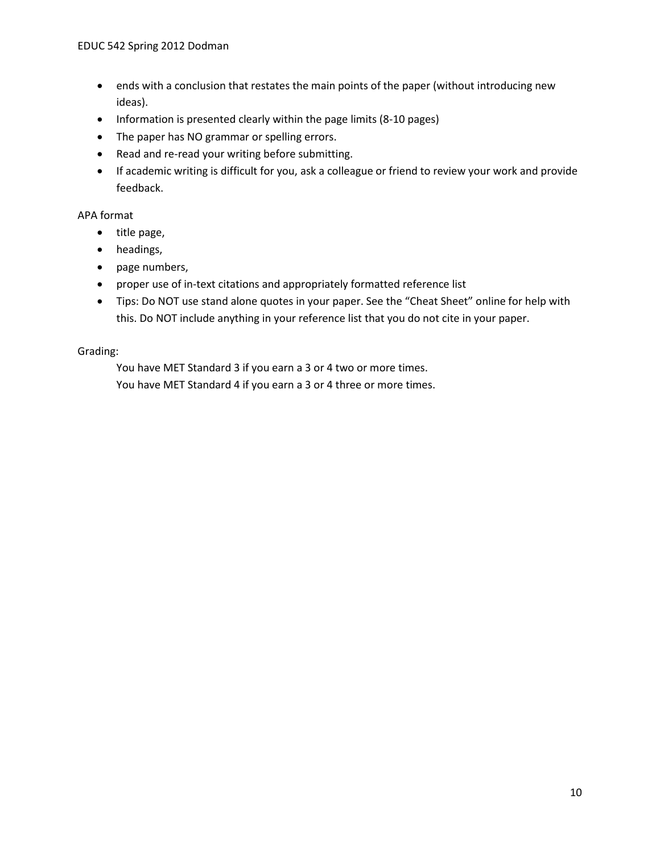- ends with a conclusion that restates the main points of the paper (without introducing new ideas).
- Information is presented clearly within the page limits (8-10 pages)
- The paper has NO grammar or spelling errors.
- Read and re-read your writing before submitting.
- If academic writing is difficult for you, ask a colleague or friend to review your work and provide feedback.

#### APA format

- title page,
- headings,
- page numbers,
- proper use of in-text citations and appropriately formatted reference list
- Tips: Do NOT use stand alone quotes in your paper. See the "Cheat Sheet" online for help with this. Do NOT include anything in your reference list that you do not cite in your paper.

#### Grading:

You have MET Standard 3 if you earn a 3 or 4 two or more times. You have MET Standard 4 if you earn a 3 or 4 three or more times.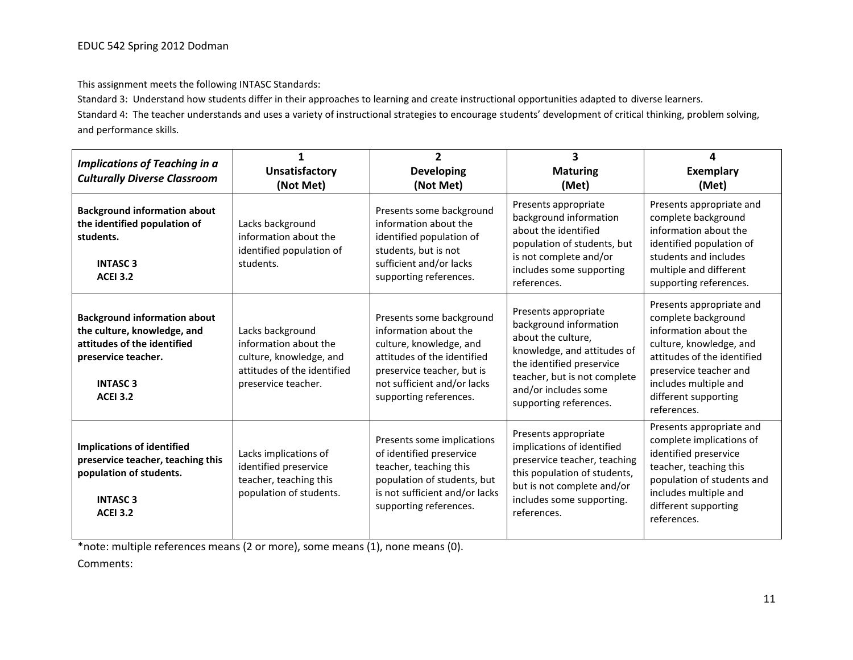This assignment meets the following INTASC Standards:

Standard 3: Understand how students differ in their approaches to learning and create instructional opportunities adapted to diverse learners. Standard 4: The teacher understands and uses a variety of instructional strategies to encourage students' development of critical thinking, problem solving, and performance skills.

| <b>Implications of Teaching in a</b><br><b>Culturally Diverse Classroom</b>                                                                                              | <b>Unsatisfactory</b><br>(Not Met)                                                                                         | $\overline{2}$<br><b>Developing</b><br>(Not Met)                                                                                                                                                   | 3<br><b>Maturing</b><br>(Met)                                                                                                                                                                                      | Δ<br><b>Exemplary</b><br>(Met)                                                                                                                                                                                               |
|--------------------------------------------------------------------------------------------------------------------------------------------------------------------------|----------------------------------------------------------------------------------------------------------------------------|----------------------------------------------------------------------------------------------------------------------------------------------------------------------------------------------------|--------------------------------------------------------------------------------------------------------------------------------------------------------------------------------------------------------------------|------------------------------------------------------------------------------------------------------------------------------------------------------------------------------------------------------------------------------|
| <b>Background information about</b><br>the identified population of<br>students.<br><b>INTASC 3</b><br><b>ACEI 3.2</b>                                                   | Lacks background<br>information about the<br>identified population of<br>students.                                         | Presents some background<br>information about the<br>identified population of<br>students, but is not<br>sufficient and/or lacks<br>supporting references.                                         | Presents appropriate<br>background information<br>about the identified<br>population of students, but<br>is not complete and/or<br>includes some supporting<br>references.                                         | Presents appropriate and<br>complete background<br>information about the<br>identified population of<br>students and includes<br>multiple and different<br>supporting references.                                            |
| <b>Background information about</b><br>the culture, knowledge, and<br>attitudes of the identified<br>preservice teacher.<br><b>INTASC<sub>3</sub></b><br><b>ACEI 3.2</b> | Lacks background<br>information about the<br>culture, knowledge, and<br>attitudes of the identified<br>preservice teacher. | Presents some background<br>information about the<br>culture, knowledge, and<br>attitudes of the identified<br>preservice teacher, but is<br>not sufficient and/or lacks<br>supporting references. | Presents appropriate<br>background information<br>about the culture,<br>knowledge, and attitudes of<br>the identified preservice<br>teacher, but is not complete<br>and/or includes some<br>supporting references. | Presents appropriate and<br>complete background<br>information about the<br>culture, knowledge, and<br>attitudes of the identified<br>preservice teacher and<br>includes multiple and<br>different supporting<br>references. |
| <b>Implications of identified</b><br>preservice teacher, teaching this<br>population of students.<br><b>INTASC<sub>3</sub></b><br><b>ACEI 3.2</b>                        | Lacks implications of<br>identified preservice<br>teacher, teaching this<br>population of students.                        | Presents some implications<br>of identified preservice<br>teacher, teaching this<br>population of students, but<br>is not sufficient and/or lacks<br>supporting references.                        | Presents appropriate<br>implications of identified<br>preservice teacher, teaching<br>this population of students,<br>but is not complete and/or<br>includes some supporting.<br>references.                       | Presents appropriate and<br>complete implications of<br>identified preservice<br>teacher, teaching this<br>population of students and<br>includes multiple and<br>different supporting<br>references.                        |

\*note: multiple references means (2 or more), some means (1), none means (0).

Comments: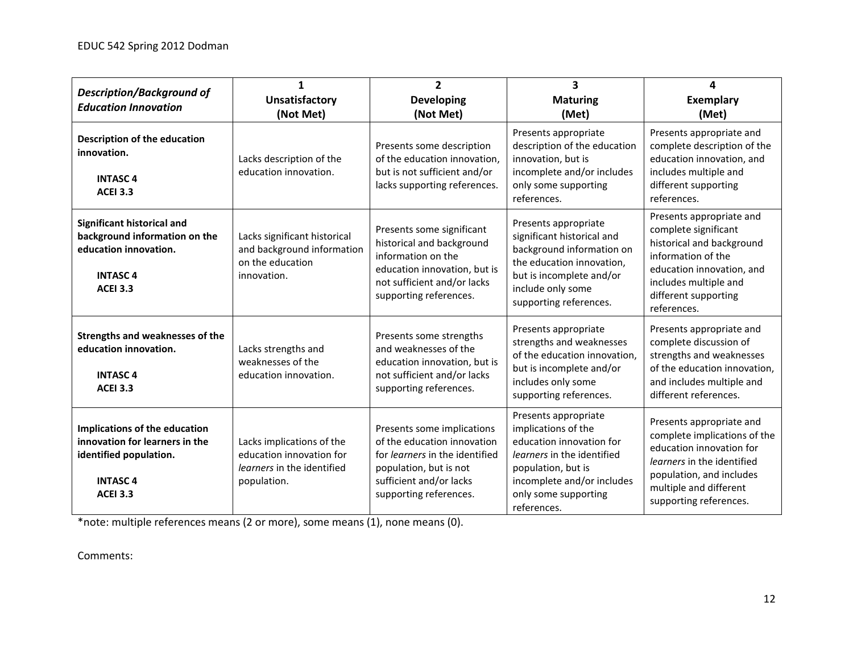| <b>Description/Background of</b><br><b>Education Innovation</b>                                                                | 1<br><b>Unsatisfactory</b><br>(Not Met)                                                            | $\overline{2}$<br><b>Developing</b><br>(Not Met)                                                                                                                                  | $\overline{\mathbf{3}}$<br><b>Maturing</b><br>(Met)                                                                                                                                                     | 4<br><b>Exemplary</b><br>(Met)                                                                                                                                                                     |
|--------------------------------------------------------------------------------------------------------------------------------|----------------------------------------------------------------------------------------------------|-----------------------------------------------------------------------------------------------------------------------------------------------------------------------------------|---------------------------------------------------------------------------------------------------------------------------------------------------------------------------------------------------------|----------------------------------------------------------------------------------------------------------------------------------------------------------------------------------------------------|
| Description of the education<br>innovation.<br><b>INTASC4</b><br><b>ACEI 3.3</b>                                               | Lacks description of the<br>education innovation.                                                  | Presents some description<br>of the education innovation,<br>but is not sufficient and/or<br>lacks supporting references.                                                         | Presents appropriate<br>description of the education<br>innovation, but is<br>incomplete and/or includes<br>only some supporting<br>references.                                                         | Presents appropriate and<br>complete description of the<br>education innovation, and<br>includes multiple and<br>different supporting<br>references.                                               |
| Significant historical and<br>background information on the<br>education innovation.<br><b>INTASC4</b><br><b>ACEI 3.3</b>      | Lacks significant historical<br>and background information<br>on the education<br>innovation.      | Presents some significant<br>historical and background<br>information on the<br>education innovation, but is<br>not sufficient and/or lacks<br>supporting references.             | Presents appropriate<br>significant historical and<br>background information on<br>the education innovation,<br>but is incomplete and/or<br>include only some<br>supporting references.                 | Presents appropriate and<br>complete significant<br>historical and background<br>information of the<br>education innovation, and<br>includes multiple and<br>different supporting<br>references.   |
| Strengths and weaknesses of the<br>education innovation.<br><b>INTASC4</b><br><b>ACEI 3.3</b>                                  | Lacks strengths and<br>weaknesses of the<br>education innovation.                                  | Presents some strengths<br>and weaknesses of the<br>education innovation, but is<br>not sufficient and/or lacks<br>supporting references.                                         | Presents appropriate<br>strengths and weaknesses<br>of the education innovation,<br>but is incomplete and/or<br>includes only some<br>supporting references.                                            | Presents appropriate and<br>complete discussion of<br>strengths and weaknesses<br>of the education innovation,<br>and includes multiple and<br>different references.                               |
| Implications of the education<br>innovation for learners in the<br>identified population.<br><b>INTASC4</b><br><b>ACEI 3.3</b> | Lacks implications of the<br>education innovation for<br>learners in the identified<br>population. | Presents some implications<br>of the education innovation<br>for <i>learners</i> in the identified<br>population, but is not<br>sufficient and/or lacks<br>supporting references. | Presents appropriate<br>implications of the<br>education innovation for<br><i>learners</i> in the identified<br>population, but is<br>incomplete and/or includes<br>only some supporting<br>references. | Presents appropriate and<br>complete implications of the<br>education innovation for<br>learners in the identified<br>population, and includes<br>multiple and different<br>supporting references. |

\*note: multiple references means (2 or more), some means (1), none means (0).

Comments: